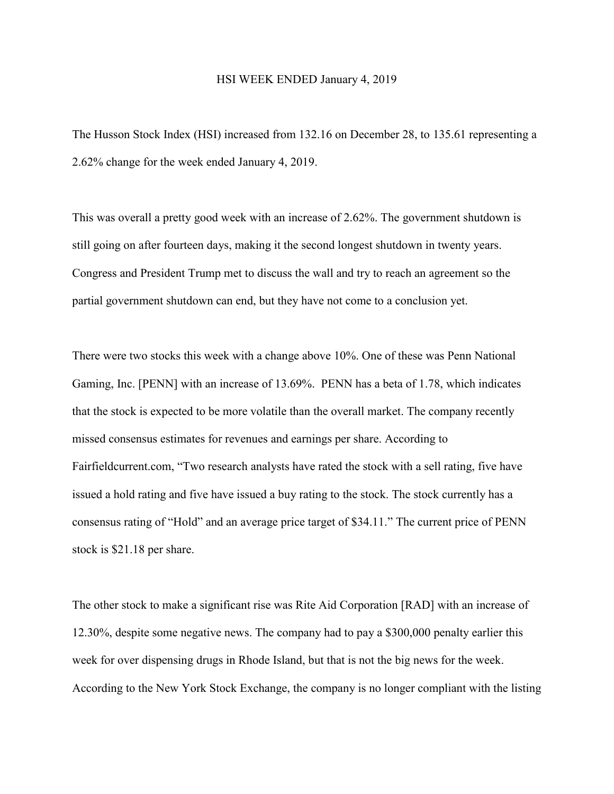## HSI WEEK ENDED January 4, 2019

The Husson Stock Index (HSI) increased from 132.16 on December 28, to 135.61 representing a 2.62% change for the week ended January 4, 2019.

This was overall a pretty good week with an increase of 2.62%. The government shutdown is still going on after fourteen days, making it the second longest shutdown in twenty years. Congress and President Trump met to discuss the wall and try to reach an agreement so the partial government shutdown can end, but they have not come to a conclusion yet.

There were two stocks this week with a change above 10%. One of these was Penn National Gaming, Inc. [PENN] with an increase of 13.69%. PENN has a beta of 1.78, which indicates that the stock is expected to be more volatile than the overall market. The company recently missed consensus estimates for revenues and earnings per share. According to Fairfieldcurrent.com, "Two research analysts have rated the stock with a sell rating, five have issued a hold rating and five have issued a buy rating to the stock. The stock currently has a consensus rating of "Hold" and an average price target of \$34.11." The current price of PENN stock is \$21.18 per share.

The other stock to make a significant rise was Rite Aid Corporation [RAD] with an increase of 12.30%, despite some negative news. The company had to pay a \$300,000 penalty earlier this week for over dispensing drugs in Rhode Island, but that is not the big news for the week. According to the New York Stock Exchange, the company is no longer compliant with the listing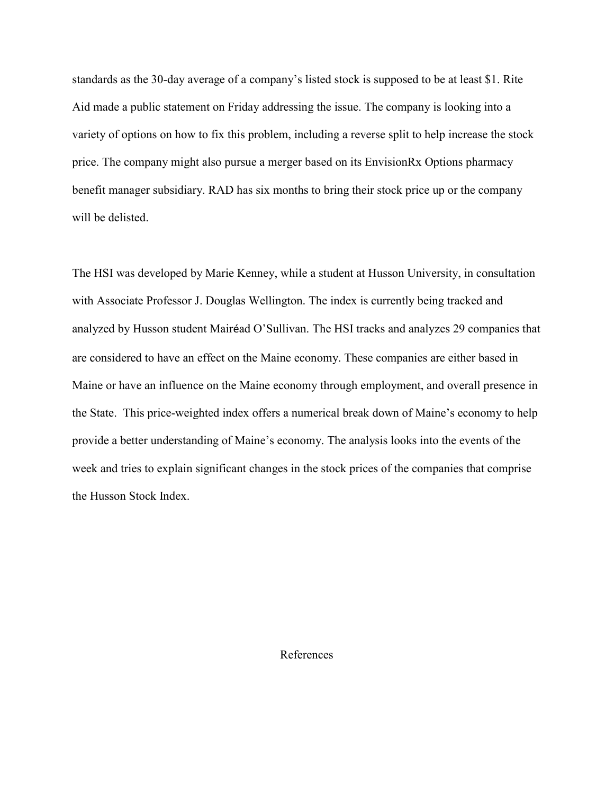standards as the 30-day average of a company's listed stock is supposed to be at least \$1. Rite Aid made a public statement on Friday addressing the issue. The company is looking into a variety of options on how to fix this problem, including a reverse split to help increase the stock price. The company might also pursue a merger based on its EnvisionRx Options pharmacy benefit manager subsidiary. RAD has six months to bring their stock price up or the company will be delisted.

The HSI was developed by Marie Kenney, while a student at Husson University, in consultation with Associate Professor J. Douglas Wellington. The index is currently being tracked and analyzed by Husson student Mairéad O'Sullivan. The HSI tracks and analyzes 29 companies that are considered to have an effect on the Maine economy. These companies are either based in Maine or have an influence on the Maine economy through employment, and overall presence in the State. This price-weighted index offers a numerical break down of Maine's economy to help provide a better understanding of Maine's economy. The analysis looks into the events of the week and tries to explain significant changes in the stock prices of the companies that comprise the Husson Stock Index.

References